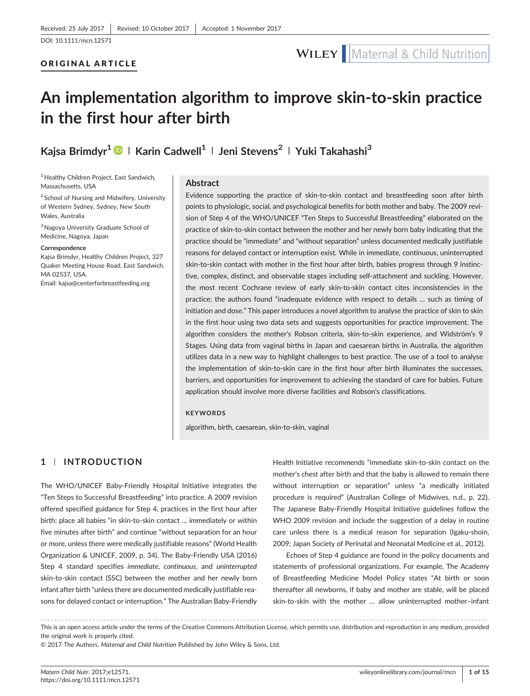## WILEY | Maternal & Child Nutrition

# An implementation algorithm to improve skin‐to‐skin practice in the first hour after birth

Kajsa Brimdyr<sup>1</sup> | Karin Cadwell<sup>1</sup> | Jeni Stevens<sup>2</sup> | Yuki Takahashi<sup>3</sup>

<sup>1</sup> Healthy Children Project, East Sandwich, Massachusetts, USA

 $2$  School of Nursing and Midwifery, University of Western Sydney, Sydney, New South Wales, Australia

3Nagoya University Graduate School of Medicine, Nagoya, Japan

#### Correspondence

Kajsa Brimdyr, Healthy Children Project, 327 Quaker Meeting House Road, East Sandwich, MA 02537, USA.

Email: [kajsa@centerforbreastfeeding.org](mailto:kajsa@centerforbreastfeeding.org)

#### Abstract

Evidence supporting the practice of skin‐to‐skin contact and breastfeeding soon after birth points to physiologic, social, and psychological benefits for both mother and baby. The 2009 revision of Step 4 of the WHO/UNICEF "Ten Steps to Successful Breastfeeding" elaborated on the practice of skin-to-skin contact between the mother and her newly born baby indicating that the practice should be "immediate" and "without separation" unless documented medically justifiable reasons for delayed contact or interruption exist. While in immediate, continuous, uninterrupted skin‐to‐skin contact with mother in the first hour after birth, babies progress through 9 instinctive, complex, distinct, and observable stages including self‐attachment and suckling. However, the most recent Cochrane review of early skin‐to‐skin contact cites inconsistencies in the practice; the authors found "inadequate evidence with respect to details … such as timing of initiation and dose." This paper introduces a novel algorithm to analyse the practice of skin to skin in the first hour using two data sets and suggests opportunities for practice improvement. The algorithm considers the mother's Robson criteria, skin‐to‐skin experience, and Widström's 9 Stages. Using data from vaginal births in Japan and caesarean births in Australia, the algorithm utilizes data in a new way to highlight challenges to best practice. The use of a tool to analyse the implementation of skin‐to‐skin care in the first hour after birth illuminates the successes, barriers, and opportunities for improvement to achieving the standard of care for babies. Future application should involve more diverse facilities and Robson's classifications.

#### **KEYWORDS**

algorithm, birth, caesarean, skin‐to‐skin, vaginal

#### 1 | INTRODUCTION

The WHO/UNICEF Baby‐Friendly Hospital Initiative integrates the "Ten Steps to Successful Breastfeeding" into practice. A 2009 revision offered specified guidance for Step 4, practices in the first hour after birth: place all babies "in skin‐to‐skin contact … immediately or within five minutes after birth" and continue "without separation for an hour or more, unless there were medically justifiable reasons" (World Health Organization & UNICEF, 2009, p. 34). The Baby‐Friendly USA (2016) Step 4 standard specifies immediate, continuous, and uninterrupted skin‐to‐skin contact (SSC) between the mother and her newly born infant after birth "unless there are documented medically justifiable reasons for delayed contact or interruption." The Australian Baby‐Friendly

Health Initiative recommends "immediate skin‐to‐skin contact on the mother's chest after birth and that the baby is allowed to remain there without interruption or separation" unless "a medically initiated procedure is required" (Australian College of Midwives, n.d., p. 22). The Japanese Baby‐Friendly Hospital Initiative guidelines follow the WHO 2009 revision and include the suggestion of a delay in routine care unless there is a medical reason for separation (Igaku‐shoin, 2009; Japan Society of Perinatal and Neonatal Medicine et al., 2012).

Echoes of Step 4 guidance are found in the policy documents and statements of professional organizations. For example, The Academy of Breastfeeding Medicine Model Policy states "At birth or soon thereafter all newborns, if baby and mother are stable, will be placed skin-to-skin with the mother ... allow uninterrupted mother-infant

------------------------------------------------------------------------------------------------------------------------------- - This is an open access article under the terms of the [Creative Commons Attribution](http://creativecommons.org/licenses/by/4.0/) License, which permits use, distribution and reproduction in any medium, provided the original work is properly cited.

© 2017 The Authors. Maternal and Child Nutrition Published by John Wiley & Sons, Ltd.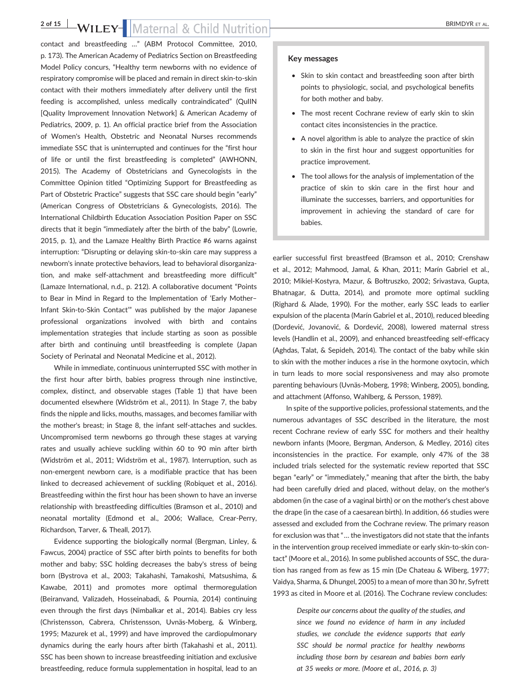### 2 of 15 WILEY-Maternal & Child Nutrition BRIMDYR ET AL.

contact and breastfeeding …" (ABM Protocol Committee, 2010, p. 173). The American Academy of Pediatrics Section on Breastfeeding Model Policy concurs, "Healthy term newborns with no evidence of respiratory compromise will be placed and remain in direct skin‐to‐skin contact with their mothers immediately after delivery until the first feeding is accomplished, unless medically contraindicated" (QuIIN [Quality Improvement Innovation Network] & American Academy of Pediatrics, 2009, p. 1). An official practice brief from the Association of Women's Health, Obstetric and Neonatal Nurses recommends immediate SSC that is uninterrupted and continues for the "first hour of life or until the first breastfeeding is completed" (AWHONN, 2015). The Academy of Obstetricians and Gynecologists in the Committee Opinion titled "Optimizing Support for Breastfeeding as Part of Obstetric Practice" suggests that SSC care should begin "early" (American Congress of Obstetricians & Gynecologists, 2016). The International Childbirth Education Association Position Paper on SSC directs that it begin "immediately after the birth of the baby" (Lowrie, 2015, p. 1), and the Lamaze Healthy Birth Practice #6 warns against interruption: "Disrupting or delaying skin‐to‐skin care may suppress a newborn's innate protective behaviors, lead to behavioral disorganization, and make self‐attachment and breastfeeding more difficult" (Lamaze International, n.d., p. 212). A collaborative document "Points to Bear in Mind in Regard to the Implementation of 'Early Mother– Infant Skin‐to‐Skin Contact'" was published by the major Japanese professional organizations involved with birth and contains implementation strategies that include starting as soon as possible after birth and continuing until breastfeeding is complete (Japan Society of Perinatal and Neonatal Medicine et al., 2012).

While in immediate, continuous uninterrupted SSC with mother in the first hour after birth, babies progress through nine instinctive, complex, distinct, and observable stages (Table 1) that have been documented elsewhere (Widström et al., 2011). In Stage 7, the baby finds the nipple and licks, mouths, massages, and becomes familiar with the mother's breast; in Stage 8, the infant self‐attaches and suckles. Uncompromised term newborns go through these stages at varying rates and usually achieve suckling within 60 to 90 min after birth (Widström et al., 2011; Widström et al., 1987). Interruption, such as non‐emergent newborn care, is a modifiable practice that has been linked to decreased achievement of suckling (Robiquet et al., 2016). Breastfeeding within the first hour has been shown to have an inverse relationship with breastfeeding difficulties (Bramson et al., 2010) and neonatal mortality (Edmond et al., 2006; Wallace, Crear‐Perry, Richardson, Tarver, & Theall, 2017).

Evidence supporting the biologically normal (Bergman, Linley, & Fawcus, 2004) practice of SSC after birth points to benefits for both mother and baby; SSC holding decreases the baby's stress of being born (Bystrova et al., 2003; Takahashi, Tamakoshi, Matsushima, & Kawabe, 2011) and promotes more optimal thermoregulation (Beiranvand, Valizadeh, Hosseinabadi, & Pournia, 2014) continuing even through the first days (Nimbalkar et al., 2014). Babies cry less (Christensson, Cabrera, Christensson, Uvnäs‐Moberg, & Winberg, 1995; Mazurek et al., 1999) and have improved the cardiopulmonary dynamics during the early hours after birth (Takahashi et al., 2011). SSC has been shown to increase breastfeeding initiation and exclusive breastfeeding, reduce formula supplementation in hospital, lead to an

#### Key messages

- Skin to skin contact and breastfeeding soon after birth points to physiologic, social, and psychological benefits for both mother and baby.
- The most recent Cochrane review of early skin to skin contact cites inconsistencies in the practice.
- A novel algorithm is able to analyze the practice of skin to skin in the first hour and suggest opportunities for practice improvement.
- The tool allows for the analysis of implementation of the practice of skin to skin care in the first hour and illuminate the successes, barriers, and opportunities for improvement in achieving the standard of care for babies.

earlier successful first breastfeed (Bramson et al., 2010; Crenshaw et al., 2012; Mahmood, Jamal, & Khan, 2011; Marín Gabriel et al., 2010; Mikiel‐Kostyra, Mazur, & Bołtruszko, 2002; Srivastava, Gupta, Bhatnagar, & Dutta, 2014), and promote more optimal suckling (Righard & Alade, 1990). For the mother, early SSC leads to earlier expulsion of the placenta (Marín Gabriel et al., 2010), reduced bleeding (Dordević, Jovanović, & Dordević, 2008), lowered maternal stress levels (Handlin et al., 2009), and enhanced breastfeeding self‐efficacy (Aghdas, Talat, & Sepideh, 2014). The contact of the baby while skin to skin with the mother induces a rise in the hormone oxytocin, which in turn leads to more social responsiveness and may also promote parenting behaviours (Uvnäs‐Moberg, 1998; Winberg, 2005), bonding, and attachment (Affonso, Wahlberg, & Persson, 1989).

In spite of the supportive policies, professional statements, and the numerous advantages of SSC described in the literature, the most recent Cochrane review of early SSC for mothers and their healthy newborn infants (Moore, Bergman, Anderson, & Medley, 2016) cites inconsistencies in the practice. For example, only 47% of the 38 included trials selected for the systematic review reported that SSC began "early" or "immediately," meaning that after the birth, the baby had been carefully dried and placed, without delay, on the mother's abdomen (in the case of a vaginal birth) or on the mother's chest above the drape (in the case of a caesarean birth). In addition, 66 studies were assessed and excluded from the Cochrane review. The primary reason for exclusion was that "… the investigators did not state that the infants in the intervention group received immediate or early skin‐to‐skin contact" (Moore et al., 2016). In some published accounts of SSC, the duration has ranged from as few as 15 min (De Chateau & Wiberg, 1977; Vaidya, Sharma, & Dhungel, 2005) to a mean of more than 30 hr, Syfrett 1993 as cited in Moore et al. (2016). The Cochrane review concludes:

> Despite our concerns about the quality of the studies, and since we found no evidence of harm in any included studies, we conclude the evidence supports that early SSC should be normal practice for healthy newborns including those born by cesarean and babies born early at 35 weeks or more. (Moore et al., 2016, p. 3)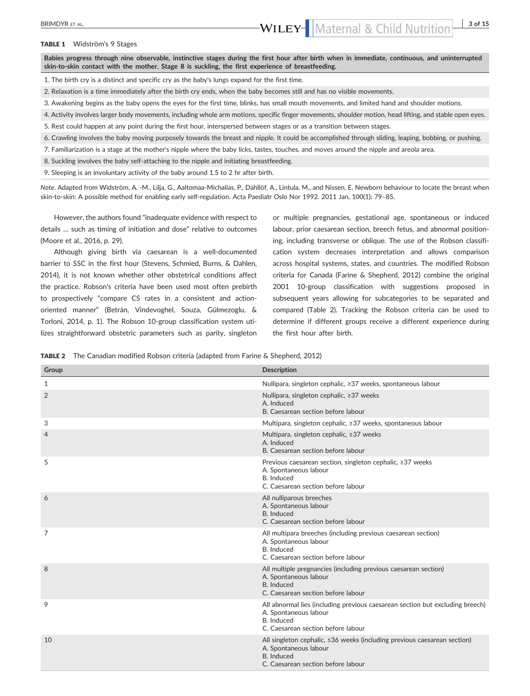TABLE 1 Widström's 9 Stages

Babies progress through nine observable, instinctive stages during the first hour after birth when in immediate, continuous, and uninterrupted skin-to-skin contact with the mother. Stage 8 is suckling, the first experience of breastfeeding.

1. The birth cry is a distinct and specific cry as the baby's lungs expand for the first time.

2. Relaxation is a time immediately after the birth cry ends, when the baby becomes still and has no visible movements.

- 3. Awakening begins as the baby opens the eyes for the first time, blinks, has small mouth movements, and limited hand and shoulder motions.
- 4. Activity involves larger body movements, including whole arm motions, specific finger movements, shoulder motion, head lifting, and stable open eyes.
- 5. Rest could happen at any point during the first hour, interspersed between stages or as a transition between stages.
- 6. Crawling involves the baby moving purposely towards the breast and nipple. It could be accomplished through sliding, leaping, bobbing, or pushing.
- 7. Familiarization is a stage at the mother's nipple where the baby licks, tastes, touches, and moves around the nipple and areola area.
- 8. Suckling involves the baby self-attaching to the nipple and initiating breastfeeding.

9. Sleeping is an involuntary activity of the baby around 1.5 to 2 hr after birth.

Note. Adapted from Widström, A. ‐M., Lilja, G., Aaltomaa‐Michalias, P., Dahllöf, A., Lintula, M., and Nissen, E. Newborn behaviour to locate the breast when skin‐to‐skin: A possible method for enabling early self‐regulation. Acta Paediatr Oslo Nor 1992. 2011 Jan, 100(1): 79–85.

However, the authors found "inadequate evidence with respect to details … such as timing of initiation and dose" relative to outcomes (Moore et al., 2016, p. 29).

Although giving birth via caesarean is a well-documented barrier to SSC in the first hour (Stevens, Schmied, Burns, & Dahlen, 2014), it is not known whether other obstetrical conditions affect the practice. Robson's criteria have been used most often prebirth to prospectively "compare CS rates in a consistent and action‐ oriented manner" (Betrán, Vindevoghel, Souza, Gülmezoglu, & Torloni, 2014, p. 1). The Robson 10‐group classification system utilizes straightforward obstetric parameters such as parity, singleton or multiple pregnancies, gestational age, spontaneous or induced labour, prior caesarean section, breech fetus, and abnormal positioning, including transverse or oblique. The use of the Robson classification system decreases interpretation and allows comparison across hospital systems, states, and countries. The modified Robson criteria for Canada (Farine & Shepherd, 2012) combine the original 2001 10‐group classification with suggestions proposed in subsequent years allowing for subcategories to be separated and compared (Table 2). Tracking the Robson criteria can be used to determine if different groups receive a different experience during the first hour after birth.

|  |  |  |  |  |  |  |  |  |  | <b>TABLE 2</b> The Canadian modified Robson criteria (adapted from Farine & Shepherd, 2012) |  |  |
|--|--|--|--|--|--|--|--|--|--|---------------------------------------------------------------------------------------------|--|--|
|--|--|--|--|--|--|--|--|--|--|---------------------------------------------------------------------------------------------|--|--|

| Group          | <b>Description</b>                                                                                                                                           |
|----------------|--------------------------------------------------------------------------------------------------------------------------------------------------------------|
| $\mathbf{1}$   | Nullipara, singleton cephalic, ≥37 weeks, spontaneous labour                                                                                                 |
| $\overline{2}$ | Nullipara, singleton cephalic, ≥37 weeks<br>A. Induced<br>B. Caesarean section before labour                                                                 |
| 3              | Multipara, singleton cephalic, ≥37 weeks, spontaneous labour                                                                                                 |
| 4              | Multipara, singleton cephalic, ≥37 weeks<br>A. Induced<br>B. Caesarean section before labour                                                                 |
| 5              | Previous caesarean section, singleton cephalic, ≥37 weeks<br>A. Spontaneous labour<br>B. Induced<br>C. Caesarean section before labour                       |
| 6              | All nulliparous breeches<br>A. Spontaneous labour<br>B. Induced<br>C. Caesarean section before labour                                                        |
| 7              | All multipara breeches (including previous caesarean section)<br>A. Spontaneous labour<br>B. Induced<br>C. Caesarean section before labour                   |
| 8              | All multiple pregnancies (including previous caesarean section)<br>A. Spontaneous labour<br>B. Induced<br>C. Caesarean section before labour                 |
| 9              | All abnormal lies (including previous caesarean section but excluding breech)<br>A. Spontaneous labour<br>B. Induced<br>C. Caesarean section before labour   |
| 10             | All singleton cephalic, <36 weeks (including previous caesarean section)<br>A. Spontaneous labour<br><b>B.</b> Induced<br>C. Caesarean section before labour |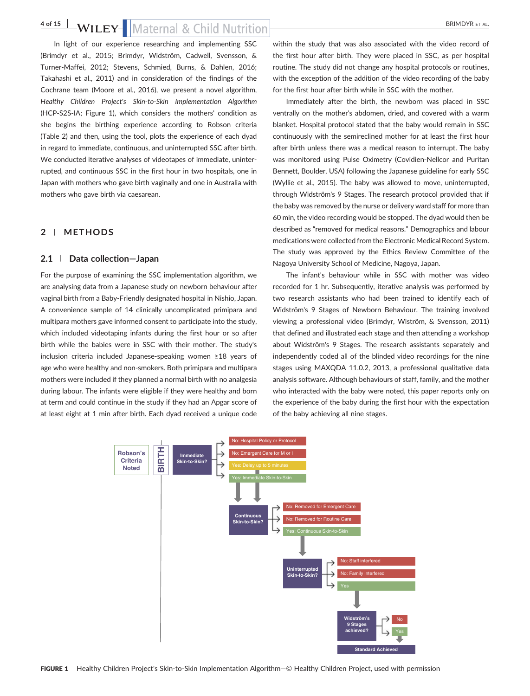In light of our experience researching and implementing SSC (Brimdyr et al., 2015; Brimdyr, Widström, Cadwell, Svensson, & Turner‐Maffei, 2012; Stevens, Schmied, Burns, & Dahlen, 2016; Takahashi et al., 2011) and in consideration of the findings of the Cochrane team (Moore et al., 2016), we present a novel algorithm, Healthy Children Project's Skin‐to‐Skin Implementation Algorithm (HCP‐S2S‐IA; Figure 1), which considers the mothers' condition as she begins the birthing experience according to Robson criteria (Table 2) and then, using the tool, plots the experience of each dyad in regard to immediate, continuous, and uninterrupted SSC after birth. We conducted iterative analyses of videotapes of immediate, uninterrupted, and continuous SSC in the first hour in two hospitals, one in Japan with mothers who gave birth vaginally and one in Australia with

### 2 | METHODS

#### 2.1 | Data collection—Japan

mothers who gave birth via caesarean.

For the purpose of examining the SSC implementation algorithm, we are analysing data from a Japanese study on newborn behaviour after vaginal birth from a Baby‐Friendly designated hospital in Nishio, Japan. A convenience sample of 14 clinically uncomplicated primipara and multipara mothers gave informed consent to participate into the study, which included videotaping infants during the first hour or so after birth while the babies were in SSC with their mother. The study's inclusion criteria included Japanese‐speaking women ≥18 years of age who were healthy and non‐smokers. Both primipara and multipara mothers were included if they planned a normal birth with no analgesia during labour. The infants were eligible if they were healthy and born at term and could continue in the study if they had an Apgar score of at least eight at 1 min after birth. Each dyad received a unique code within the study that was also associated with the video record of the first hour after birth. They were placed in SSC, as per hospital routine. The study did not change any hospital protocols or routines, with the exception of the addition of the video recording of the baby for the first hour after birth while in SSC with the mother.

Immediately after the birth, the newborn was placed in SSC ventrally on the mother's abdomen, dried, and covered with a warm blanket. Hospital protocol stated that the baby would remain in SSC continuously with the semireclined mother for at least the first hour after birth unless there was a medical reason to interrupt. The baby was monitored using Pulse Oximetry (Covidien‐Nellcor and Puritan Bennett, Boulder, USA) following the Japanese guideline for early SSC (Wyllie et al., 2015). The baby was allowed to move, uninterrupted, through Widström's 9 Stages. The research protocol provided that if the baby was removed by the nurse or delivery ward staff for more than 60 min, the video recording would be stopped. The dyad would then be described as "removed for medical reasons." Demographics and labour medications were collected from the Electronic Medical Record System. The study was approved by the Ethics Review Committee of the Nagoya University School of Medicine, Nagoya, Japan.

The infant's behaviour while in SSC with mother was video recorded for 1 hr. Subsequently, iterative analysis was performed by two research assistants who had been trained to identify each of Widström's 9 Stages of Newborn Behaviour. The training involved viewing a professional video (Brimdyr, Wiström, & Svensson, 2011) that defined and illustrated each stage and then attending a workshop about Widström's 9 Stages. The research assistants separately and independently coded all of the blinded video recordings for the nine stages using MAXQDA 11.0.2, 2013, a professional qualitative data analysis software. Although behaviours of staff, family, and the mother who interacted with the baby were noted, this paper reports only on the experience of the baby during the first hour with the expectation of the baby achieving all nine stages.

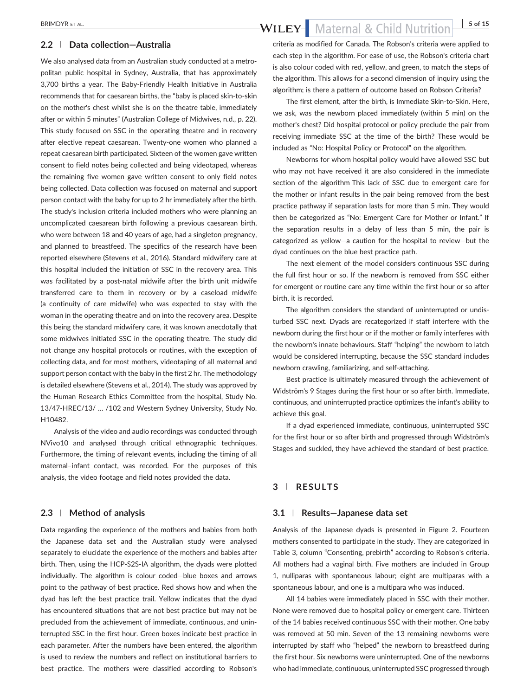#### 2.2 | Data collection—Australia

We also analysed data from an Australian study conducted at a metropolitan public hospital in Sydney, Australia, that has approximately 3,700 births a year. The Baby‐Friendly Health Initiative in Australia recommends that for caesarean births, the "baby is placed skin‐to‐skin on the mother's chest whilst she is on the theatre table, immediately after or within 5 minutes" (Australian College of Midwives, n.d., p. 22). This study focused on SSC in the operating theatre and in recovery after elective repeat caesarean. Twenty‐one women who planned a repeat caesarean birth participated. Sixteen of the women gave written consent to field notes being collected and being videotaped, whereas the remaining five women gave written consent to only field notes being collected. Data collection was focused on maternal and support person contact with the baby for up to 2 hr immediately after the birth. The study's inclusion criteria included mothers who were planning an uncomplicated caesarean birth following a previous caesarean birth, who were between 18 and 40 years of age, had a singleton pregnancy, and planned to breastfeed. The specifics of the research have been reported elsewhere (Stevens et al., 2016). Standard midwifery care at this hospital included the initiation of SSC in the recovery area. This was facilitated by a post-natal midwife after the birth unit midwife transferred care to them in recovery or by a caseload midwife (a continuity of care midwife) who was expected to stay with the woman in the operating theatre and on into the recovery area. Despite this being the standard midwifery care, it was known anecdotally that some midwives initiated SSC in the operating theatre. The study did not change any hospital protocols or routines, with the exception of collecting data, and for most mothers, videotaping of all maternal and support person contact with the baby in the first 2 hr. The methodology is detailed elsewhere (Stevens et al., 2014). The study was approved by the Human Research Ethics Committee from the hospital, Study No. 13/47‐HREC/13/ … /102 and Western Sydney University, Study No. H10482.

Analysis of the video and audio recordings was conducted through NVivo10 and analysed through critical ethnographic techniques. Furthermore, the timing of relevant events, including the timing of all maternal–infant contact, was recorded. For the purposes of this analysis, the video footage and field notes provided the data.

#### 2.3 | Method of analysis

Data regarding the experience of the mothers and babies from both the Japanese data set and the Australian study were analysed separately to elucidate the experience of the mothers and babies after birth. Then, using the HCP‐S2S‐IA algorithm, the dyads were plotted individually. The algorithm is colour coded—blue boxes and arrows point to the pathway of best practice. Red shows how and when the dyad has left the best practice trail. Yellow indicates that the dyad has encountered situations that are not best practice but may not be precluded from the achievement of immediate, continuous, and uninterrupted SSC in the first hour. Green boxes indicate best practice in each parameter. After the numbers have been entered, the algorithm is used to review the numbers and reflect on institutional barriers to best practice. The mothers were classified according to Robson's

### BRIMDYR ET AL. 5 of 15

criteria as modified for Canada. The Robson's criteria were applied to each step in the algorithm. For ease of use, the Robson's criteria chart is also colour coded with red, yellow, and green, to match the steps of the algorithm. This allows for a second dimension of inquiry using the algorithm; is there a pattern of outcome based on Robson Criteria?

The first element, after the birth, is Immediate Skin‐to‐Skin. Here, we ask, was the newborn placed immediately (within 5 min) on the mother's chest? Did hospital protocol or policy preclude the pair from receiving immediate SSC at the time of the birth? These would be included as "No: Hospital Policy or Protocol" on the algorithm.

Newborns for whom hospital policy would have allowed SSC but who may not have received it are also considered in the immediate section of the algorithm This lack of SSC due to emergent care for the mother or infant results in the pair being removed from the best practice pathway if separation lasts for more than 5 min. They would then be categorized as "No: Emergent Care for Mother or Infant." If the separation results in a delay of less than 5 min, the pair is categorized as yellow—a caution for the hospital to review—but the dyad continues on the blue best practice path.

The next element of the model considers continuous SSC during the full first hour or so. If the newborn is removed from SSC either for emergent or routine care any time within the first hour or so after birth, it is recorded.

The algorithm considers the standard of uninterrupted or undisturbed SSC next. Dyads are recategorized if staff interfere with the newborn during the first hour or if the mother or family interferes with the newborn's innate behaviours. Staff "helping" the newborn to latch would be considered interrupting, because the SSC standard includes newborn crawling, familiarizing, and self‐attaching.

Best practice is ultimately measured through the achievement of Widström's 9 Stages during the first hour or so after birth. Immediate, continuous, and uninterrupted practice optimizes the infant's ability to achieve this goal.

If a dyad experienced immediate, continuous, uninterrupted SSC for the first hour or so after birth and progressed through Widström's Stages and suckled, they have achieved the standard of best practice.

#### 3 | RESULTS

#### 3.1 | Results—Japanese data set

Analysis of the Japanese dyads is presented in Figure 2. Fourteen mothers consented to participate in the study. They are categorized in Table 3, column "Consenting, prebirth" according to Robson's criteria. All mothers had a vaginal birth. Five mothers are included in Group 1, nulliparas with spontaneous labour; eight are multiparas with a spontaneous labour, and one is a multipara who was induced.

All 14 babies were immediately placed in SSC with their mother. None were removed due to hospital policy or emergent care. Thirteen of the 14 babies received continuous SSC with their mother. One baby was removed at 50 min. Seven of the 13 remaining newborns were interrupted by staff who "helped" the newborn to breastfeed during the first hour. Six newborns were uninterrupted. One of the newborns who had immediate, continuous, uninterrupted SSC progressed through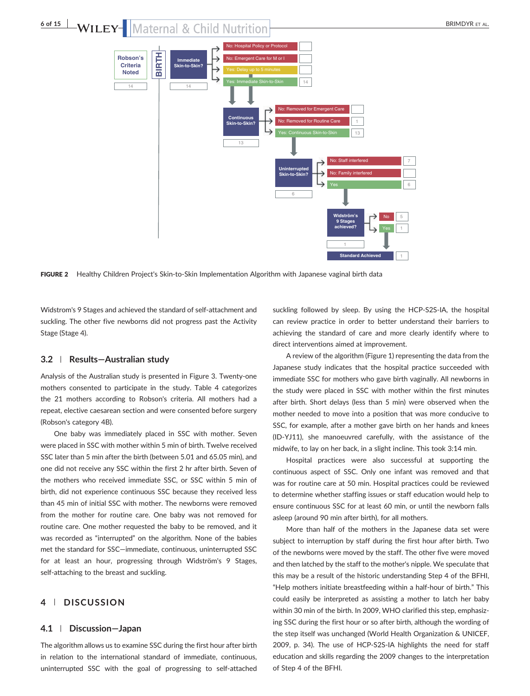



FIGURE 2 Healthy Children Project's Skin-to-Skin Implementation Algorithm with Japanese vaginal birth data

Widstrom's 9 Stages and achieved the standard of self‐attachment and suckling. The other five newborns did not progress past the Activity Stage (Stage 4).

#### 3.2 | Results—Australian study

Analysis of the Australian study is presented in Figure 3. Twenty‐one mothers consented to participate in the study. Table 4 categorizes the 21 mothers according to Robson's criteria. All mothers had a repeat, elective caesarean section and were consented before surgery (Robson's category 4B).

One baby was immediately placed in SSC with mother. Seven were placed in SSC with mother within 5 min of birth. Twelve received SSC later than 5 min after the birth (between 5.01 and 65.05 min), and one did not receive any SSC within the first 2 hr after birth. Seven of the mothers who received immediate SSC, or SSC within 5 min of birth, did not experience continuous SSC because they received less than 45 min of initial SSC with mother. The newborns were removed from the mother for routine care. One baby was not removed for routine care. One mother requested the baby to be removed, and it was recorded as "interrupted" on the algorithm. None of the babies met the standard for SSC—immediate, continuous, uninterrupted SSC for at least an hour, progressing through Widström's 9 Stages, self-attaching to the breast and suckling.

### 4 | DISCUSSION

#### 4.1 | Discussion—Japan

The algorithm allows us to examine SSC during the first hour after birth in relation to the international standard of immediate, continuous, uninterrupted SSC with the goal of progressing to self‐attached

suckling followed by sleep. By using the HCP‐S2S‐IA, the hospital can review practice in order to better understand their barriers to achieving the standard of care and more clearly identify where to direct interventions aimed at improvement.

A review of the algorithm (Figure 1) representing the data from the Japanese study indicates that the hospital practice succeeded with immediate SSC for mothers who gave birth vaginally. All newborns in the study were placed in SSC with mother within the first minutes after birth. Short delays (less than 5 min) were observed when the mother needed to move into a position that was more conducive to SSC, for example, after a mother gave birth on her hands and knees (ID‐YJ11), she manoeuvred carefully, with the assistance of the midwife, to lay on her back, in a slight incline. This took 3:14 min.

Hospital practices were also successful at supporting the continuous aspect of SSC. Only one infant was removed and that was for routine care at 50 min. Hospital practices could be reviewed to determine whether staffing issues or staff education would help to ensure continuous SSC for at least 60 min, or until the newborn falls asleep (around 90 min after birth), for all mothers.

More than half of the mothers in the Japanese data set were subject to interruption by staff during the first hour after birth. Two of the newborns were moved by the staff. The other five were moved and then latched by the staff to the mother's nipple. We speculate that this may be a result of the historic understanding Step 4 of the BFHI, "Help mothers initiate breastfeeding within a half‐hour of birth." This could easily be interpreted as assisting a mother to latch her baby within 30 min of the birth. In 2009, WHO clarified this step, emphasizing SSC during the first hour or so after birth, although the wording of the step itself was unchanged (World Health Organization & UNICEF, 2009, p. 34). The use of HCP‐S2S‐IA highlights the need for staff education and skills regarding the 2009 changes to the interpretation of Step 4 of the BFHI.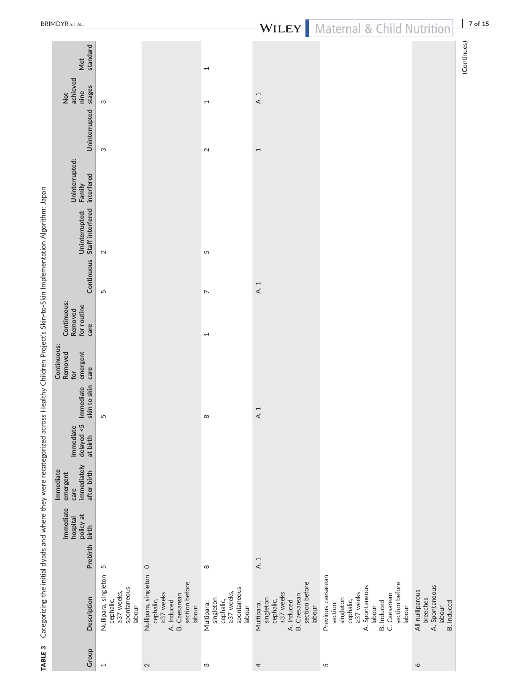|                                                                                                                                                 | <b>BRIMDYR ET AL.</b>                                       |                                                                          |                                                                                                                 |                                                                             |                                                                                                             | <b>WILEY-</b> Maternal & Child Nutrition                                                                                                                           |                                                                              | 7 of        |
|-------------------------------------------------------------------------------------------------------------------------------------------------|-------------------------------------------------------------|--------------------------------------------------------------------------|-----------------------------------------------------------------------------------------------------------------|-----------------------------------------------------------------------------|-------------------------------------------------------------------------------------------------------------|--------------------------------------------------------------------------------------------------------------------------------------------------------------------|------------------------------------------------------------------------------|-------------|
|                                                                                                                                                 | standard<br>Met                                             |                                                                          |                                                                                                                 | $\overline{\phantom{0}}$                                                    |                                                                                                             |                                                                                                                                                                    |                                                                              | (Continues) |
|                                                                                                                                                 | achieved<br>stages<br>nine<br>$\frac{1}{2}$                 | S                                                                        |                                                                                                                 | $\overline{ }$                                                              | A.1                                                                                                         |                                                                                                                                                                    |                                                                              |             |
|                                                                                                                                                 | Uninterrupted                                               | S                                                                        |                                                                                                                 | $\sim$                                                                      | $\overline{ }$                                                                                              |                                                                                                                                                                    |                                                                              |             |
|                                                                                                                                                 | Uninterrupted:<br>interfered<br>Family                      |                                                                          |                                                                                                                 |                                                                             |                                                                                                             |                                                                                                                                                                    |                                                                              |             |
|                                                                                                                                                 | Staff interfered<br>Uninterrupted:                          | $\sim$                                                                   |                                                                                                                 | 5                                                                           |                                                                                                             |                                                                                                                                                                    |                                                                              |             |
|                                                                                                                                                 | Continuous                                                  | 5                                                                        |                                                                                                                 | $\overline{ }$                                                              | A.1                                                                                                         |                                                                                                                                                                    |                                                                              |             |
|                                                                                                                                                 | Continuous:<br>for routine<br>Removed<br>care               |                                                                          |                                                                                                                 | $\overline{ }$                                                              |                                                                                                             |                                                                                                                                                                    |                                                                              |             |
|                                                                                                                                                 | Continuous:<br>emergent<br>Removed<br>care<br>for           |                                                                          |                                                                                                                 |                                                                             |                                                                                                             |                                                                                                                                                                    |                                                                              |             |
|                                                                                                                                                 | skin to skin<br>Immediate                                   | 5                                                                        |                                                                                                                 | $\infty$                                                                    | $\overline{ }$<br>$\prec$                                                                                   |                                                                                                                                                                    |                                                                              |             |
|                                                                                                                                                 | delayed <5<br>Immediate<br>at birth                         |                                                                          |                                                                                                                 |                                                                             |                                                                                                             |                                                                                                                                                                    |                                                                              |             |
|                                                                                                                                                 | immediately<br>Immediate<br>after birth<br>emergent<br>care |                                                                          |                                                                                                                 |                                                                             |                                                                                                             |                                                                                                                                                                    |                                                                              |             |
|                                                                                                                                                 | Immediate<br>policy at<br>hospital<br>birth                 |                                                                          |                                                                                                                 |                                                                             |                                                                                                             |                                                                                                                                                                    |                                                                              |             |
|                                                                                                                                                 | Prebirth                                                    | 5                                                                        | $\circ$                                                                                                         | $\infty$                                                                    | $\overline{\phantom{0}}$<br>$\prec$                                                                         |                                                                                                                                                                    |                                                                              |             |
| Categorizing the initial dyads and where they were recategorized across Healthy Children Project's Skin-to-Skin Implementation Algorithm: Japan | Description                                                 | Nullipara, singleton<br>spontaneous<br>≥37 weeks,<br>cephalic,<br>labour | Nullipara, singleton<br>section before<br>≥37 weeks<br><b>B.</b> Caesarean<br>cephalic,<br>A. Induced<br>labour | spontaneous<br>≥37 weeks,<br>singleton<br>cephalic,<br>Multipara,<br>labour | section before<br>237 weeks<br>A. Induced<br>B. Caesarean<br>singleton<br>cephalic,<br>Multipara,<br>labour | Previous caesarean<br>section before<br>A. Spontaneous<br>237 weeks<br>C. Caesarean<br>singleton<br>cephalic,<br><b>B.</b> Induced<br>section,<br>labour<br>labour | A. Spontaneous<br>All nulliparous<br>breeches<br><b>B.</b> Induced<br>labour |             |
| TABLE <sub>3</sub>                                                                                                                              | Group                                                       | $\overline{ }$                                                           | $\sim$                                                                                                          | $\infty$                                                                    | 4                                                                                                           | S                                                                                                                                                                  | $\mathsf{\circ}$                                                             |             |

 $\overline{B}$ 

## $\vert$  Material  $\circ$  Child Nutrition  $\vert$  7 of 15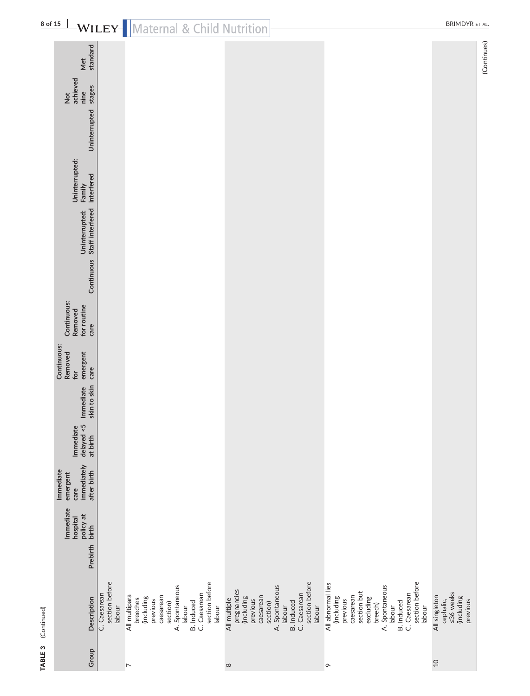| Ì<br>diam'r.<br>å |
|-------------------|
| ¢<br>FARIE        |

| 8 of 15     |                                                             |                                          | <b>WILEY</b> Maternal & Child Nutrition                                                                                                                                   |                                                                                |                                                                                           |                                                                                                                                                                                              | <b>BRIMDYR ET AL.</b>                                             |
|-------------|-------------------------------------------------------------|------------------------------------------|---------------------------------------------------------------------------------------------------------------------------------------------------------------------------|--------------------------------------------------------------------------------|-------------------------------------------------------------------------------------------|----------------------------------------------------------------------------------------------------------------------------------------------------------------------------------------------|-------------------------------------------------------------------|
|             | standard<br>Met                                             |                                          |                                                                                                                                                                           |                                                                                |                                                                                           |                                                                                                                                                                                              | (Continues)                                                       |
|             | achieved<br>stages<br>nine<br>$\frac{1}{2}$                 |                                          |                                                                                                                                                                           |                                                                                |                                                                                           |                                                                                                                                                                                              |                                                                   |
|             | Uninterrupted                                               |                                          |                                                                                                                                                                           |                                                                                |                                                                                           |                                                                                                                                                                                              |                                                                   |
|             | Uninterrupted:<br>interfered<br>Family                      |                                          |                                                                                                                                                                           |                                                                                |                                                                                           |                                                                                                                                                                                              |                                                                   |
|             | Staff interfered<br>Uninterrupted:                          |                                          |                                                                                                                                                                           |                                                                                |                                                                                           |                                                                                                                                                                                              |                                                                   |
|             | Continuous                                                  |                                          |                                                                                                                                                                           |                                                                                |                                                                                           |                                                                                                                                                                                              |                                                                   |
|             | Continuous:<br>for routine<br>Removed<br>care               |                                          |                                                                                                                                                                           |                                                                                |                                                                                           |                                                                                                                                                                                              |                                                                   |
|             | Continuous:<br>Removed<br>emergent<br>care<br>for           |                                          |                                                                                                                                                                           |                                                                                |                                                                                           |                                                                                                                                                                                              |                                                                   |
|             | skin to skin<br>Immediate                                   |                                          |                                                                                                                                                                           |                                                                                |                                                                                           |                                                                                                                                                                                              |                                                                   |
|             | delayed < 5<br>Immediate<br>at birth                        |                                          |                                                                                                                                                                           |                                                                                |                                                                                           |                                                                                                                                                                                              |                                                                   |
|             | immediately<br>Immediate<br>after birth<br>emergent<br>care |                                          |                                                                                                                                                                           |                                                                                |                                                                                           |                                                                                                                                                                                              |                                                                   |
|             | Immediate<br>policy at<br>birth<br>hospital                 |                                          |                                                                                                                                                                           |                                                                                |                                                                                           |                                                                                                                                                                                              |                                                                   |
|             | Prebirth                                                    |                                          |                                                                                                                                                                           |                                                                                |                                                                                           |                                                                                                                                                                                              |                                                                   |
| (Continued) | Description                                                 | section before<br>C. Caesarean<br>labour | section before<br>A. Spontaneous<br>C. Caesarean<br>All multipara<br>caesarean<br>(including<br>breeches<br>previous<br><b>B.</b> Induced<br>section)<br>labour<br>labour | pregnancies<br>(including<br>caesarean<br>All multiple<br>previous<br>section) | section before<br>A. Spontaneous<br>C. Caesarean<br><b>B.</b> Induced<br>labour<br>labour | section before<br>All abnormal lies<br>A. Spontaneous<br>section but<br>C. Caesarean<br>caesarean<br>(including<br>excluding<br>previous<br><b>B.</b> Induced<br>breech)<br>labour<br>labour | ≤36 weeks<br>All singleton<br>(including<br>cephalic,<br>previous |
| TABLE 3     | Group                                                       |                                          | $\overline{\phantom{a}}$                                                                                                                                                  | $\infty$                                                                       |                                                                                           | $\circ$                                                                                                                                                                                      | $\Omega$                                                          |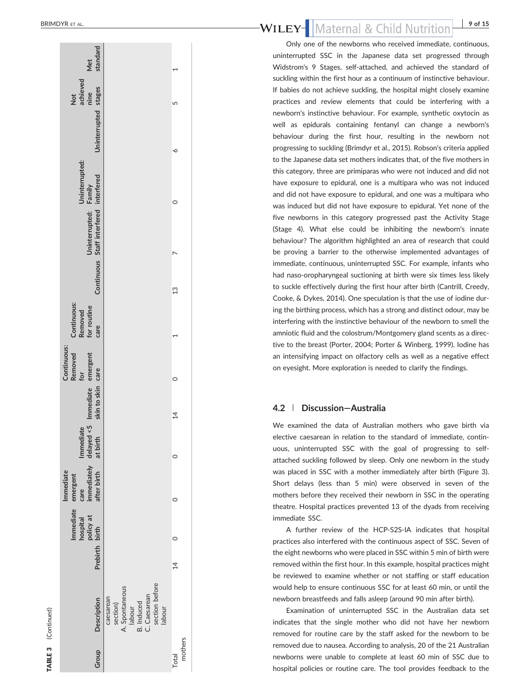**TABLE 3** (Continued)

(Continued)

| standard<br>Met                                                                     |                                                                                                             |                  |  |
|-------------------------------------------------------------------------------------|-------------------------------------------------------------------------------------------------------------|------------------|--|
| achieved<br>Uninterrupted stages<br>nine<br>Not                                     |                                                                                                             | 5                |  |
|                                                                                     |                                                                                                             | ∘                |  |
| Uninterrupted:                                                                      |                                                                                                             |                  |  |
| Continuous Staff interfered interfered<br>Uninterrupted: Family                     |                                                                                                             |                  |  |
|                                                                                     |                                                                                                             | $\frac{3}{2}$    |  |
| Continuous:<br>Removed<br>for routine<br>care                                       |                                                                                                             |                  |  |
| Continuous:<br>Removed<br>for                                                       |                                                                                                             |                  |  |
| immediately delayed <5 Immediate emergent<br>after birth at birth skin to skin care |                                                                                                             | $\overline{14}$  |  |
| Immediate                                                                           |                                                                                                             | c                |  |
| Immediate<br>emergent<br>care                                                       |                                                                                                             | c                |  |
| Immediate<br>hospital<br>policy at<br>Prebirth birth                                |                                                                                                             | $\subset$        |  |
|                                                                                     |                                                                                                             | $\overline{4}$   |  |
| Group Description                                                                   | section before<br>A. Spontaneous<br>labour<br>B. Induced<br>C. Caesarean<br>caesarean<br>section)<br>labour |                  |  |
|                                                                                     |                                                                                                             | mothers<br>Total |  |

#### Maternal & Child Nutrition<sup>9 of 15</sup> WILEY

Only one of the newborns who received immediate, continuous, uninterrupted SSC in the Japanese data set progressed through Widstrom's 9 Stages, self-attached, and achieved the standard of suckling within the first hour as a continuum of instinctive behaviour. If babies do not achieve suckling, the hospital might closely examine practices and review elements that could be interfering with a newborn's instinctive behaviour. For example, synthetic oxytocin as well as epidurals containing fentanyl can change a newborn's behaviour during the first hour, resulting in the newborn not progressing to suckling (Brimdyr et al., 2015). Robson's criteria applied to the Japanese data set mothers indicates that, of the five mothers in this category, three are primiparas who were not induced and did not have exposure to epidural, one is a multipara who was not induced and did not have exposure to epidural, and one was a multipara who was induced but did not have exposure to epidural. Yet none of the five newborns in this category progressed past the Activity Stage (Stage 4). What else could be inhibiting the newborn's innate behaviour? The algorithm highlighted an area of research that could be proving a barrier to the otherwise implemented advantages of immediate, continuous, uninterrupted SSC. For example, infants who had naso ‐oropharyngeal suctioning at birth were six times less likely to suckle effectively during the first hour after birth (Cantrill, Creedy, Cooke, & Dykes, 2014). One speculation is that the use of iodine during the birthing process, which has a strong and distinct odour, may be interfering with the instinctive behaviour of the newborn to smell the amniotic fluid and the colostrum/Montgomery gland scents as a directive to the breast (Porter, 2004; Porter & Winberg, 1999). Iodine has an intensifying impact on olfactory cells as well as a negative effect on eyesight. More exploration is needed to clarify the findings.

#### $4.2 \; |$ | Discussion —Australia

We examined the data of Australian mothers who gave birth via elective caesarean in relation to the standard of immediate, continuous, uninterrupted SSC with the goal of progressing to self‐ attached suckling followed by sleep. Only one newborn in the study was placed in SSC with a mother immediately after birth (Figure 3). Short delays (less than 5 min) were observed in seven of the mothers before they received their newborn in SSC in the operating theatre. Hospital practices prevented 13 of the dyads from receiving immediate SSC.

A further review of the HCP ‐S2S ‐IA indicates that hospital practices also interfered with the continuous aspect of SSC. Seven of the eight newborns who were placed in SSC within 5 min of birth were removed within the first hour. In this example, hospital practices might be reviewed to examine whether or not staffing or staff education would help to ensure continuous SSC for at least 60 min, or until the newborn breastfeeds and falls asleep (around 90 min after birth).

Examination of uninterrupted SSC in the Australian data set indicates that the single mother who did not have her newborn removed for routine care by the staff asked for the newborn to be removed due to nausea. According to analysis, 20 of the 21 Australian newborns were unable to complete at least 60 min of SSC due to hospital policies or routine care. The tool provides feedback to the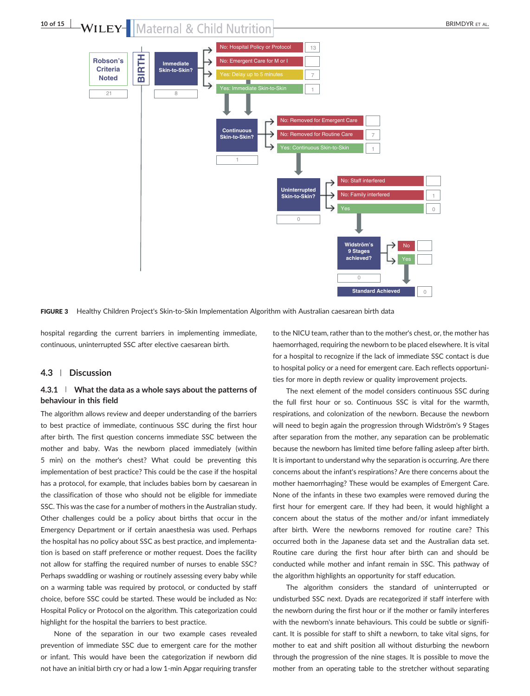

FIGURE 3 Healthy Children Project's Skin-to-Skin Implementation Algorithm with Australian caesarean birth data

hospital regarding the current barriers in implementing immediate, continuous, uninterrupted SSC after elective caesarean birth.

#### 4.3 | Discussion

#### $4.3.1$  | What the data as a whole says about the patterns of behaviour in this field

The algorithm allows review and deeper understanding of the barriers to best practice of immediate, continuous SSC during the first hour after birth. The first question concerns immediate SSC between the mother and baby. Was the newborn placed immediately (within 5 min) on the mother's chest? What could be preventing this implementation of best practice? This could be the case if the hospital has a protocol, for example, that includes babies born by caesarean in the classification of those who should not be eligible for immediate SSC. This was the case for a number of mothers in the Australian study. Other challenges could be a policy about births that occur in the Emergency Department or if certain anaesthesia was used. Perhaps the hospital has no policy about SSC as best practice, and implementation is based on staff preference or mother request. Does the facility not allow for staffing the required number of nurses to enable SSC? Perhaps swaddling or washing or routinely assessing every baby while on a warming table was required by protocol, or conducted by staff choice, before SSC could be started. These would be included as No: Hospital Policy or Protocol on the algorithm. This categorization could highlight for the hospital the barriers to best practice.

None of the separation in our two example cases revealed prevention of immediate SSC due to emergent care for the mother or infant. This would have been the categorization if newborn did not have an initial birth cry or had a low 1‐min Apgar requiring transfer

to the NICU team, rather than to the mother's chest, or, the mother has haemorrhaged, requiring the newborn to be placed elsewhere. It is vital for a hospital to recognize if the lack of immediate SSC contact is due to hospital policy or a need for emergent care. Each reflects opportunities for more in depth review or quality improvement projects.

The next element of the model considers continuous SSC during the full first hour or so. Continuous SSC is vital for the warmth, respirations, and colonization of the newborn. Because the newborn will need to begin again the progression through Widström's 9 Stages after separation from the mother, any separation can be problematic because the newborn has limited time before falling asleep after birth. It is important to understand why the separation is occurring. Are there concerns about the infant's respirations? Are there concerns about the mother haemorrhaging? These would be examples of Emergent Care. None of the infants in these two examples were removed during the first hour for emergent care. If they had been, it would highlight a concern about the status of the mother and/or infant immediately after birth. Were the newborns removed for routine care? This occurred both in the Japanese data set and the Australian data set. Routine care during the first hour after birth can and should be conducted while mother and infant remain in SSC. This pathway of the algorithm highlights an opportunity for staff education.

The algorithm considers the standard of uninterrupted or undisturbed SSC next. Dyads are recategorized if staff interfere with the newborn during the first hour or if the mother or family interferes with the newborn's innate behaviours. This could be subtle or significant. It is possible for staff to shift a newborn, to take vital signs, for mother to eat and shift position all without disturbing the newborn through the progression of the nine stages. It is possible to move the mother from an operating table to the stretcher without separating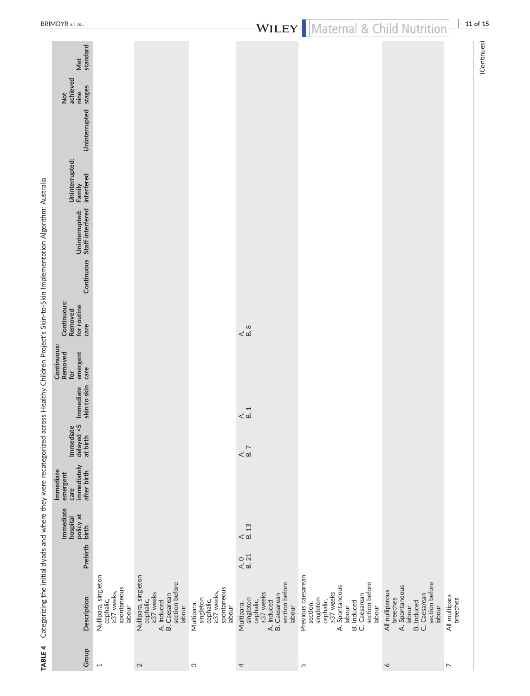|                                                                                                                                                     | <b>BRIMDYR ET AL.</b>                                                 |                                                                          |                                                                                                                 |                                                                             |                                                                                                                    | <b>WILEY</b> Maternal & Child Nutrition                                                                                                                     |                                                                                                                          | 11 of 15                  |
|-----------------------------------------------------------------------------------------------------------------------------------------------------|-----------------------------------------------------------------------|--------------------------------------------------------------------------|-----------------------------------------------------------------------------------------------------------------|-----------------------------------------------------------------------------|--------------------------------------------------------------------------------------------------------------------|-------------------------------------------------------------------------------------------------------------------------------------------------------------|--------------------------------------------------------------------------------------------------------------------------|---------------------------|
|                                                                                                                                                     | Met<br>standard<br>Not<br>achieved<br>stages<br>nine<br>Uninterrupted |                                                                          |                                                                                                                 |                                                                             |                                                                                                                    |                                                                                                                                                             |                                                                                                                          | (Continues)               |
|                                                                                                                                                     | Uninterrupted:<br>Family<br>interfered                                |                                                                          |                                                                                                                 |                                                                             |                                                                                                                    |                                                                                                                                                             |                                                                                                                          |                           |
|                                                                                                                                                     | Uninterrupted:<br>Staff interfered                                    |                                                                          |                                                                                                                 |                                                                             |                                                                                                                    |                                                                                                                                                             |                                                                                                                          |                           |
|                                                                                                                                                     | Continuous                                                            |                                                                          |                                                                                                                 |                                                                             |                                                                                                                    |                                                                                                                                                             |                                                                                                                          |                           |
|                                                                                                                                                     | Continuous:<br>for routine<br>Removed<br>care                         |                                                                          |                                                                                                                 |                                                                             | $\begin{array}{c} 2 \\ 4 \\ 8 \end{array}$                                                                         |                                                                                                                                                             |                                                                                                                          |                           |
|                                                                                                                                                     | Continuous:<br>emergent<br>Removed<br>care<br>for                     |                                                                          |                                                                                                                 |                                                                             |                                                                                                                    |                                                                                                                                                             |                                                                                                                          |                           |
|                                                                                                                                                     | Immediate<br>skin to skin                                             |                                                                          |                                                                                                                 |                                                                             | $4 \overline{a}$                                                                                                   |                                                                                                                                                             |                                                                                                                          |                           |
|                                                                                                                                                     | delayed <5<br>at birth<br>Immediate                                   |                                                                          |                                                                                                                 |                                                                             | $\begin{array}{c}\n\triangle \\ \triangle \\ \cong\n\end{array}$                                                   |                                                                                                                                                             |                                                                                                                          |                           |
|                                                                                                                                                     | immediately<br>after birth<br>Immediate<br>emergent<br>care           |                                                                          |                                                                                                                 |                                                                             |                                                                                                                    |                                                                                                                                                             |                                                                                                                          |                           |
|                                                                                                                                                     | Immediate<br>policy at<br>birth<br>hospital                           |                                                                          |                                                                                                                 |                                                                             | $\frac{\mathsf{A}}{\mathsf{B}}$ .13                                                                                |                                                                                                                                                             |                                                                                                                          |                           |
|                                                                                                                                                     | Prebirth                                                              |                                                                          |                                                                                                                 |                                                                             | $\frac{A}{B}$ .21                                                                                                  |                                                                                                                                                             |                                                                                                                          |                           |
| Categorizing the initial dyads and where they were recategorized across Healthy Children Project's Skin-to-Skin Implementation Algorithm: Australia | Description                                                           | Nullipara, singleton<br>cephalic,<br>≥37 weeks,<br>spontaneous<br>labour | Nullipara, singleton<br>section before<br>cephalic,<br>>37 weeks<br><b>B.</b> Caesarean<br>A. Induced<br>labour | spontaneous<br>cephalic,<br>237 weeks,<br>singleton<br>Multipara,<br>labour | section before<br>cephalic,<br>237 weeks<br><b>B.</b> Caesarean<br>singleton<br>A. Induced<br>Multipara,<br>labour | Previous caesarean<br>section before<br>A. Spontaneous<br>labour<br>cephalic,<br>>37 weeks<br>B. Induced<br>C. Caesarean<br>singleton<br>section,<br>labour | section before<br>A. Spontaneous<br>All nulliparous<br>C. Caesarean<br>breeches<br><b>B.</b> Induced<br>labour<br>labour | All multipara<br>breeches |
| TABLE 4                                                                                                                                             | Group                                                                 | $\overline{ }$                                                           | $\mathbf{\Omega}$                                                                                               | S                                                                           | 4                                                                                                                  | 5                                                                                                                                                           | $\infty$                                                                                                                 | $\triangleright$          |

 $\frac{\text{B}}{\text{B}}$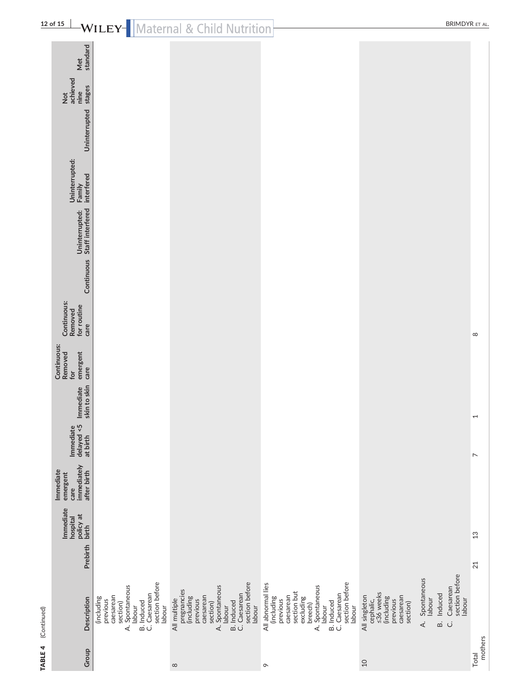| <b>TABLE 4</b> (Continued) |          |                                                |                                                                                                                     |          |                               |                                               |            |
|----------------------------|----------|------------------------------------------------|---------------------------------------------------------------------------------------------------------------------|----------|-------------------------------|-----------------------------------------------|------------|
| Group Description          | Prebirth | Immediate<br>policy at<br>th birth<br>hospital | immediately delayed-s5 Immediate emergent<br>after_birth at_birth skin_to_skin_care<br>mmediate<br>emergent<br>care | mmediate | <b>Removed</b><br>Continuous: | Continuous:<br>for routine<br>Removed<br>care | Continuous |
| (including<br>previous     |          |                                                |                                                                                                                     |          |                               |                                               |            |
|                            |          |                                                |                                                                                                                     |          |                               |                                               |            |
| caesarean                  |          |                                                |                                                                                                                     |          |                               |                                               |            |
| section)                   |          |                                                |                                                                                                                     |          |                               |                                               |            |
| A. Spontaneous             |          |                                                |                                                                                                                     |          |                               |                                               |            |
| abour                      |          |                                                |                                                                                                                     |          |                               |                                               |            |

|                                                | щ                                                                                                                                            |                                                                                                                                                                             |                                                                                                                                                                                       |                                                                                                                                                                                                                 |
|------------------------------------------------|----------------------------------------------------------------------------------------------------------------------------------------------|-----------------------------------------------------------------------------------------------------------------------------------------------------------------------------|---------------------------------------------------------------------------------------------------------------------------------------------------------------------------------------|-----------------------------------------------------------------------------------------------------------------------------------------------------------------------------------------------------------------|
| standard<br>Met                                |                                                                                                                                              |                                                                                                                                                                             |                                                                                                                                                                                       |                                                                                                                                                                                                                 |
| Not<br>achieved<br>stages<br>nine              |                                                                                                                                              |                                                                                                                                                                             |                                                                                                                                                                                       |                                                                                                                                                                                                                 |
| <b>Uninterrupted</b>                           |                                                                                                                                              |                                                                                                                                                                             |                                                                                                                                                                                       |                                                                                                                                                                                                                 |
| Uninterrupted:<br>interfered<br>Family         |                                                                                                                                              |                                                                                                                                                                             |                                                                                                                                                                                       |                                                                                                                                                                                                                 |
| Uninterrupted:<br>Continuous Staff interfered  |                                                                                                                                              |                                                                                                                                                                             |                                                                                                                                                                                       |                                                                                                                                                                                                                 |
|                                                |                                                                                                                                              |                                                                                                                                                                             |                                                                                                                                                                                       |                                                                                                                                                                                                                 |
| Continuous:<br>for routine<br>Removed<br>care  |                                                                                                                                              |                                                                                                                                                                             |                                                                                                                                                                                       |                                                                                                                                                                                                                 |
| Removed<br>emergent<br>care<br>for             |                                                                                                                                              |                                                                                                                                                                             |                                                                                                                                                                                       |                                                                                                                                                                                                                 |
| Immediate<br>skin to skin                      |                                                                                                                                              |                                                                                                                                                                             |                                                                                                                                                                                       |                                                                                                                                                                                                                 |
| $Immediate \sim rad < 5$<br>at birth           |                                                                                                                                              |                                                                                                                                                                             |                                                                                                                                                                                       |                                                                                                                                                                                                                 |
| immediately<br>after birth<br>emergent<br>care |                                                                                                                                              |                                                                                                                                                                             |                                                                                                                                                                                       |                                                                                                                                                                                                                 |
| Immediate<br>policy at<br>birth<br>hospital    |                                                                                                                                              |                                                                                                                                                                             |                                                                                                                                                                                       |                                                                                                                                                                                                                 |
| Prebirth                                       |                                                                                                                                              |                                                                                                                                                                             |                                                                                                                                                                                       |                                                                                                                                                                                                                 |
| Description                                    | section before<br>A. Spontaneous<br>C. Caesarean<br>caesarean<br>(including<br>previous<br><b>B.</b> Induced<br>section)<br>labour<br>labour | section before<br>A. Spontaneous<br>pregnancies<br>(including<br>C. Caesarean<br>caesarean<br>All multiple<br>previous<br><b>B.</b> Induced<br>section)<br>labour<br>labour | section before<br>All abnormal lies<br>A. Spontaneous<br>section but<br>B. Induced<br>C. Caesarean<br>caesarean<br>(including<br>excluding<br>previous<br>breech)<br>labour<br>labour | section before<br>Spontaneous<br>Caesarean<br>≤36 weeks<br>Induced<br>All singleton<br>caesarean<br>(including<br>labour<br>labour<br>cephalic,<br>previous<br>section)<br>$\dot{\mathbf{z}}$<br>$\vec{a}$<br>ن |
| Group                                          |                                                                                                                                              | $\infty$                                                                                                                                                                    | $\sigma$                                                                                                                                                                              | $10$                                                                                                                                                                                                            |

Total mothers

 $\overline{a}$ 

 $\overline{13}$ 

 $21$ 

 $\overline{a}$ 

 $\infty$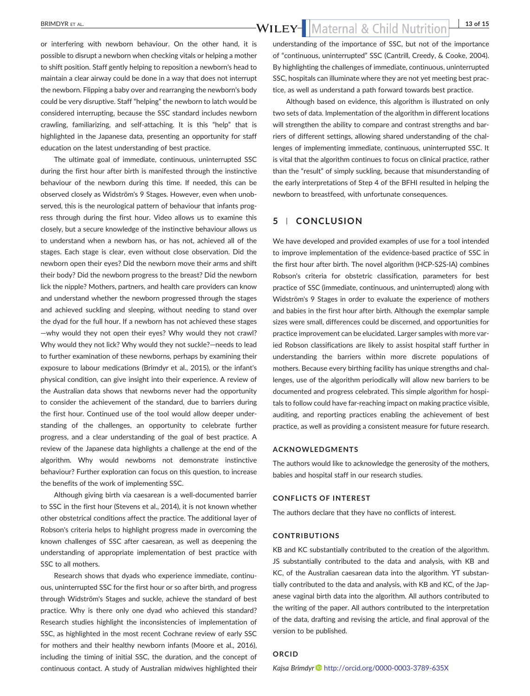BRIMDYR ET AL. 13 of 15

or interfering with newborn behaviour. On the other hand, it is possible to disrupt a newborn when checking vitals or helping a mother to shift position. Staff gently helping to reposition a newborn's head to maintain a clear airway could be done in a way that does not interrupt the newborn. Flipping a baby over and rearranging the newborn's body could be very disruptive. Staff "helping" the newborn to latch would be considered interrupting, because the SSC standard includes newborn crawling, familiarizing, and self‐attaching. It is this "help" that is highlighted in the Japanese data, presenting an opportunity for staff education on the latest understanding of best practice.

The ultimate goal of immediate, continuous, uninterrupted SSC during the first hour after birth is manifested through the instinctive behaviour of the newborn during this time. If needed, this can be observed closely as Widström's 9 Stages. However, even when unobserved, this is the neurological pattern of behaviour that infants progress through during the first hour. Video allows us to examine this closely, but a secure knowledge of the instinctive behaviour allows us to understand when a newborn has, or has not, achieved all of the stages. Each stage is clear, even without close observation. Did the newborn open their eyes? Did the newborn move their arms and shift their body? Did the newborn progress to the breast? Did the newborn lick the nipple? Mothers, partners, and health care providers can know and understand whether the newborn progressed through the stages and achieved suckling and sleeping, without needing to stand over the dyad for the full hour. If a newborn has not achieved these stages —why would they not open their eyes? Why would they not crawl? Why would they not lick? Why would they not suckle?—needs to lead to further examination of these newborns, perhaps by examining their exposure to labour medications (Brimdyr et al., 2015), or the infant's physical condition, can give insight into their experience. A review of the Australian data shows that newborns never had the opportunity to consider the achievement of the standard, due to barriers during the first hour. Continued use of the tool would allow deeper understanding of the challenges, an opportunity to celebrate further progress, and a clear understanding of the goal of best practice. A review of the Japanese data highlights a challenge at the end of the algorithm. Why would newborns not demonstrate instinctive behaviour? Further exploration can focus on this question, to increase the benefits of the work of implementing SSC.

Although giving birth via caesarean is a well‐documented barrier to SSC in the first hour (Stevens et al., 2014), it is not known whether other obstetrical conditions affect the practice. The additional layer of Robson's criteria helps to highlight progress made in overcoming the known challenges of SSC after caesarean, as well as deepening the understanding of appropriate implementation of best practice with SSC to all mothers.

Research shows that dyads who experience immediate, continuous, uninterrupted SSC for the first hour or so after birth, and progress through Widström's Stages and suckle, achieve the standard of best practice. Why is there only one dyad who achieved this standard? Research studies highlight the inconsistencies of implementation of SSC, as highlighted in the most recent Cochrane review of early SSC for mothers and their healthy newborn infants (Moore et al., 2016), including the timing of initial SSC, the duration, and the concept of continuous contact. A study of Australian midwives highlighted their

understanding of the importance of SSC, but not of the importance of "continuous, uninterrupted" SSC (Cantrill, Creedy, & Cooke, 2004). By highlighting the challenges of immediate, continuous, uninterrupted SSC, hospitals can illuminate where they are not yet meeting best practice, as well as understand a path forward towards best practice.

Although based on evidence, this algorithm is illustrated on only two sets of data. Implementation of the algorithm in different locations will strengthen the ability to compare and contrast strengths and barriers of different settings, allowing shared understanding of the challenges of implementing immediate, continuous, uninterrupted SSC. It is vital that the algorithm continues to focus on clinical practice, rather than the "result" of simply suckling, because that misunderstanding of the early interpretations of Step 4 of the BFHI resulted in helping the newborn to breastfeed, with unfortunate consequences.

### 5 | CONCLUSION

We have developed and provided examples of use for a tool intended to improve implementation of the evidence‐based practice of SSC in the first hour after birth. The novel algorithm (HCP‐S2S‐IA) combines Robson's criteria for obstetric classification, parameters for best practice of SSC (immediate, continuous, and uninterrupted) along with Widström's 9 Stages in order to evaluate the experience of mothers and babies in the first hour after birth. Although the exemplar sample sizes were small, differences could be discerned, and opportunities for practice improvement can be elucidated. Larger samples with more varied Robson classifications are likely to assist hospital staff further in understanding the barriers within more discrete populations of mothers. Because every birthing facility has unique strengths and challenges, use of the algorithm periodically will allow new barriers to be documented and progress celebrated. This simple algorithm for hospitals to follow could have far‐reaching impact on making practice visible, auditing, and reporting practices enabling the achievement of best practice, as well as providing a consistent measure for future research.

#### ACKNOWLEDGMENTS

The authors would like to acknowledge the generosity of the mothers, babies and hospital staff in our research studies.

#### CONFLICTS OF INTEREST

The authors declare that they have no conflicts of interest.

#### CONTRIBUTIONS

KB and KC substantially contributed to the creation of the algorithm. JS substantially contributed to the data and analysis, with KB and KC, of the Australian caesarean data into the algorithm. YT substantially contributed to the data and analysis, with KB and KC, of the Japanese vaginal birth data into the algorithm. All authors contributed to the writing of the paper. All authors contributed to the interpretation of the data, drafting and revising the article, and final approval of the version to be published.

#### ORCID

Kajsa Brimdyr <http://orcid.org/0000-0003-3789-635X>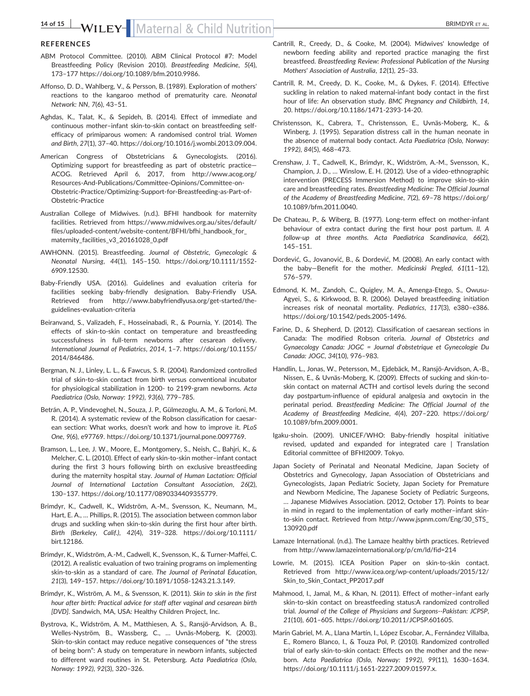### 14 of 15 WILEY-Maternal & Child Nutrition BRIMDYR ET AL.

#### **REFERENCES**

- ABM Protocol Committee. (2010). ABM Clinical Protocol #7: Model Breastfeeding Policy (Revision 2010). Breastfeeding Medicine, 5(4), 173–177 [https://doi.org/10.1089/bfm.2010.9986.](https://doi.org/10.1089/bfm.2010.9986)
- Affonso, D. D., Wahlberg, V., & Persson, B. (1989). Exploration of mothers' reactions to the kangaroo method of prematurity care. Neonatal Network: NN, 7(6), 43–51.
- Aghdas, K., Talat, K., & Sepideh, B. (2014). Effect of immediate and continuous mother–infant skin‐to‐skin contact on breastfeeding self‐ efficacy of primiparous women: A randomised control trial. Women and Birth, 27(1), 37–40. [https://doi.org/10.1016/j.wombi.2013.09.004.](https://doi.org/10.1016/j.wombi.2013.09.004)
- American Congress of Obstetricians & Gynecologists. (2016). Optimizing support for breastfeeding as part of obstetric practice— ACOG. Retrieved April 6, 2017, from [http://www.acog.org/](http://www.acog.org/Resources-And-Publications/Committee-Opinions/Committee-on-Obstetric-Practice/Optimizing-Support-for-Breastfeeding-as-Part-of-Obstetric-Practice) Resources‐And‐[Publications/Committee](http://www.acog.org/Resources-And-Publications/Committee-Opinions/Committee-on-Obstetric-Practice/Optimizing-Support-for-Breastfeeding-as-Part-of-Obstetric-Practice)‐Opinions/Committee‐on‐ Obstetric‐[Practice/Optimizing](http://www.acog.org/Resources-And-Publications/Committee-Opinions/Committee-on-Obstetric-Practice/Optimizing-Support-for-Breastfeeding-as-Part-of-Obstetric-Practice)‐Support‐for‐Breastfeeding‐as‐Part‐of‐ [Obstetric](http://www.acog.org/Resources-And-Publications/Committee-Opinions/Committee-on-Obstetric-Practice/Optimizing-Support-for-Breastfeeding-as-Part-of-Obstetric-Practice)‐Practice
- Australian College of Midwives. (n.d.). BFHI handbook for maternity facilities. Retrieved from [https://www.midwives.org.au/sites/default/](https://www.midwives.org.au/sites/default/files/uploaded-content/website-content/BFHI/bfhi_handbook_for_maternity_facilities_v3_20161028_0.pdf) files/uploaded‐content/website‐[content/BFHI/bfhi\\_handbook\\_for\\_](https://www.midwives.org.au/sites/default/files/uploaded-content/website-content/BFHI/bfhi_handbook_for_maternity_facilities_v3_20161028_0.pdf) [maternity\\_facilities\\_v3\\_20161028\\_0.pdf](https://www.midwives.org.au/sites/default/files/uploaded-content/website-content/BFHI/bfhi_handbook_for_maternity_facilities_v3_20161028_0.pdf)
- AWHONN. (2015). Breastfeeding. Journal of Obstetric, Gynecologic & Neonatal Nursing, 44(1), 145–150. [https://doi.org/10.1111/1552](https://doi.org/10.1111/1552-6909.12530)‐ [6909.12530.](https://doi.org/10.1111/1552-6909.12530)
- Baby‐Friendly USA. (2016). Guidelines and evaluation criteria for facilities seeking baby-friendly designation. Baby-Friendly USA. Retrieved from [http://www.babyfriendlyusa.org/get](http://www.babyfriendlyusa.org/get-started/the-guidelines-evaluation-criteria)-started/theguidelines‐[evaluation](http://www.babyfriendlyusa.org/get-started/the-guidelines-evaluation-criteria)‐criteria
- Beiranvand, S., Valizadeh, F., Hosseinabadi, R., & Pournia, Y. (2014). The effects of skin‐to‐skin contact on temperature and breastfeeding successfulness in full-term newborns after cesarean delivery. International Journal of Pediatrics, 2014, 1–7. [https://doi.org/10.1155/](https://doi.org/10.1155/2014/846486) [2014/846486.](https://doi.org/10.1155/2014/846486)
- Bergman, N. J., Linley, L. L., & Fawcus, S. R. (2004). Randomized controlled trial of skin‐to‐skin contact from birth versus conventional incubator for physiological stabilization in 1200‐ to 2199‐gram newborns. Acta Paediatrica (Oslo, Norway: 1992), 93(6), 779–785.
- Betrán, A. P., Vindevoghel, N., Souza, J. P., Gülmezoglu, A. M., & Torloni, M. R. (2014). A systematic review of the Robson classification for caesarean section: What works, doesn't work and how to improve it. PLoS One, 9(6), e97769. [https://doi.org/10.1371/journal.pone.0097769.](https://doi.org/10.1371/journal.pone.0097769)
- Bramson, L., Lee, J. W., Moore, E., Montgomery, S., Neish, C., Bahjri, K., & Melcher, C. L. (2010). Effect of early skin‐to‐skin mother–infant contact during the first 3 hours following birth on exclusive breastfeeding during the maternity hospital stay. Journal of Human Lactation: Official Journal of International Lactation Consultant Association, 26(2), 130–137. [https://doi.org/10.1177/0890334409355779.](https://doi.org/10.1177/0890334409355779)
- Brimdyr, K., Cadwell, K., Widström, A.‐M., Svensson, K., Neumann, M., Hart, E. A., … Phillips, R. (2015). The association between common labor drugs and suckling when skin‐to‐skin during the first hour after birth. Birth (Berkeley, Calif.), 42(4), 319–328. [https://doi.org/10.1111/](https://doi.org/10.1111/birt.12186) [birt.12186](https://doi.org/10.1111/birt.12186).
- Brimdyr, K., Widström, A.‐M., Cadwell, K., Svensson, K., & Turner‐Maffei, C. (2012). A realistic evaluation of two training programs on implementing skin-to-skin as a standard of care. The Journal of Perinatal Education, 21(3), 149–157. [https://doi.org/10.1891/1058](https://doi.org/10.1891/1058-1243.21.3.149)‐1243.21.3.149.
- Brimdyr, K., Wiström, A. M., & Svensson, K. (2011). Skin to skin in the first hour after birth: Practical advice for staff after vaginal and cesarean birth [DVD]. Sandwich, MA, USA: Healthy Children Project, Inc.
- Bystrova, K., Widström, A. M., Matthiesen, A. S., Ransjö‐Arvidson, A. B., Welles‐Nyström, B., Wassberg, C., … Uvnäs‐Moberg, K. (2003). Skin-to-skin contact may reduce negative consequences of "the stress of being born": A study on temperature in newborn infants, subjected to different ward routines in St. Petersburg. Acta Paediatrica (Oslo, Norway: 1992), 92(3), 320–326.
- Cantrill, R., Creedy, D., & Cooke, M. (2004). Midwives' knowledge of newborn feeding ability and reported practice managing the first breastfeed. Breastfeeding Review: Professional Publication of the Nursing Mothers' Association of Australia, 12(1), 25–33.
- Cantrill, R. M., Creedy, D. K., Cooke, M., & Dykes, F. (2014). Effective suckling in relation to naked maternal-infant body contact in the first hour of life: An observation study. BMC Pregnancy and Childbirth, 14, 20. [https://doi.org/10.1186/1471](https://doi.org/10.1186/1471-2393-14-20)‐2393‐14‐20.
- Christensson, K., Cabrera, T., Christensson, E., Uvnäs‐Moberg, K., & Winberg, J. (1995). Separation distress call in the human neonate in the absence of maternal body contact. Acta Paediatrica (Oslo, Norway: 1992), 84(5), 468–473.
- Crenshaw, J. T., Cadwell, K., Brimdyr, K., Widström, A.‐M., Svensson, K., Champion, J. D., … Winslow, E. H. (2012). Use of a video‐ethnographic intervention (PRECESS Immersion Method) to improve skin‐to‐skin care and breastfeeding rates. Breastfeeding Medicine: The Official Journal of the Academy of Breastfeeding Medicine, 7(2), 69–78 [https://doi.org/](https://doi.org/10.1089/bfm.2011.0040) [10.1089/bfm.2011.0040](https://doi.org/10.1089/bfm.2011.0040).
- De Chateau, P., & Wiberg, B. (1977). Long‐term effect on mother‐infant behaviour of extra contact during the first hour post partum. II. A follow-up at three months. Acta Paediatrica Scandinavica, 66(2), 145–151.
- Dordević, G., Jovanović, B., & Dordević, M. (2008). An early contact with the baby—Benefit for the mother. Medicinski Pregled, 61(11–12), 576–579.
- Edmond, K. M., Zandoh, C., Quigley, M. A., Amenga‐Etego, S., Owusu‐ Agyei, S., & Kirkwood, B. R. (2006). Delayed breastfeeding initiation increases risk of neonatal mortality. Pediatrics, 117(3), e380–e386. [https://doi.org/10.1542/peds.2005](https://doi.org/10.1542/peds.2005-1496)‐1496.
- Farine, D., & Shepherd, D. (2012). Classification of caesarean sections in Canada: The modified Robson criteria. Journal of Obstetrics and Gynaecology Canada: JOGC = Journal d'obstetrique et Gynecologie Du Canada: JOGC, 34(10), 976–983.
- Handlin, L., Jonas, W., Petersson, M., Ejdebäck, M., Ransjö‐Arvidson, A.‐B., Nissen, E., & Uvnäs‐Moberg, K. (2009). Effects of sucking and skin‐to‐ skin contact on maternal ACTH and cortisol levels during the second day postpartum‐influence of epidural analgesia and oxytocin in the perinatal period. Breastfeeding Medicine: The Official Journal of the Academy of Breastfeeding Medicine, 4(4), 207–220. [https://doi.org/](https://doi.org/10.1089/bfm.2009.0001) [10.1089/bfm.2009.0001](https://doi.org/10.1089/bfm.2009.0001).
- Igaku-shoin. (2009). UNICEF/WHO: Baby-friendly hospital initiative revised, updated and expanded for integrated care | Translation Editorial committee of BFHI2009. Tokyo.
- Japan Society of Perinatal and Neonatal Medicine, Japan Society of Obstetrics and Gynecology, Japan Association of Obstetricians and Gynecologists, Japan Pediatric Society, Japan Society for Premature and Newborn Medicine, The Japanese Society of Pediatric Surgeons, … Japanese Midwives Association. (2012, October 17). Points to bear in mind in regard to the implementation of early mother-infant skinto‐skin contact. Retrieved from [http://www.jspnm.com/Eng/30\\_STS\\_](http://www.jspnm.com/Eng/30_STS_130920.pdf) [130920.pdf](http://www.jspnm.com/Eng/30_STS_130920.pdf)
- Lamaze International. (n.d.). The Lamaze healthy birth practices. Retrieved from<http://www.lamazeinternational.org/p/cm/ld/fid=214>
- Lowrie, M. (2015). ICEA Position Paper on skin-to-skin contact. Retrieved from http://www.icea.org/wp-[content/uploads/2015/12/](http://www.icea.org/wp-content/uploads/2015/12/Skin_to_Skin_Contact_PP2017.pdf) [Skin\\_to\\_Skin\\_Contact\\_PP2017.pdf](http://www.icea.org/wp-content/uploads/2015/12/Skin_to_Skin_Contact_PP2017.pdf)
- Mahmood, I., Jamal, M., & Khan, N. (2011). Effect of mother–infant early skin‐to‐skin contact on breastfeeding status:A randomized controlled trial. Journal of the College of Physicians and Surgeons‐‐Pakistan: JCPSP, 21(10), 601–605. [https://doi.org/10.2011/JCPSP.601605.](https://doi.org/10.2011/JCPSP.601605)
- Marín Gabriel, M. A., Llana Martín, I., López Escobar, A., Fernández Villalba, E., Romero Blanco, I., & Touza Pol, P. (2010). Randomized controlled trial of early skin‐to‐skin contact: Effects on the mother and the newborn. Acta Paediatrica (Oslo, Norway: 1992), 99(11), 1630–1634. [https://doi.org/10.1111/j.1651](https://doi.org/10.1111/j.1651-2227.2009.01597.x)‐2227.2009.01597.x.